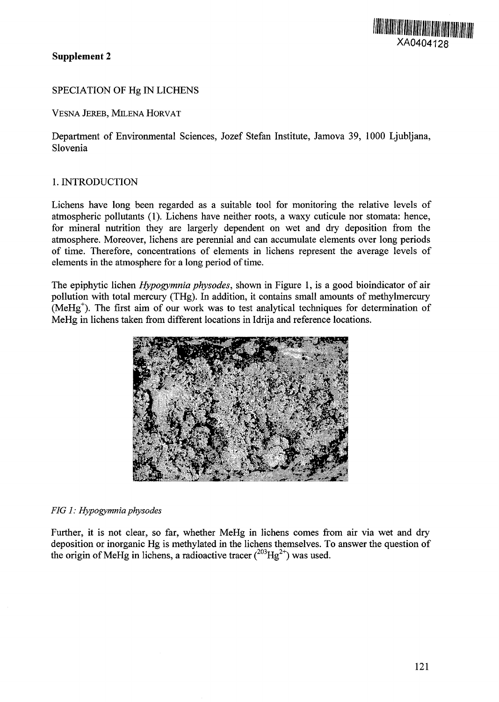## **Supplement** 2

# SPECIATION OF Hg IN LICHENS

VESNA JEREB, MILENA HORVAT

Department of Environmental Sciences, Jozef Stefan Institute, Jamova 39, 1000 Ljubljana, Slovenia

## 1. INTRODUCTION

Lichens have long been regarded as a suitable tool for monitoring the relative levels of atmospheric pollutants (1). Lichens have neither roots, a waxy cuticule nor stomata: hence, for mineral nutrition they are largerly dependent on wet and dry deposition from the atmosphere. Moreover, lichens are perennial and can accumulate elements over long periods of time. Therefore, concentrations of elements in lichens represent the average levels of elements in the atmosphere for a long period of time.

The epiphytic lichen *Hypogymnia physodes,* shown in Figure 1, is a good bioindicator of air pollution with total mercury (THg). In addition, it contains small amounts of methylmercury  $(MeHg<sup>+</sup>)$ . The first aim of our work was to test analytical techniques for determination of MeHg in lichens taken from different locations in Idrija and reference locations.



#### *FIG 1: Hypogymnia physodes*

Further, it is not clear, so far, whether MeHg in lichens comes from air via wet and dry deposition or inorganic Hg is methylated in the lichens themselves. To answer the question of the origin of MeHg in lichens, a radioactive tracer  $(^{203}$ Hg<sup>2+</sup>) was used.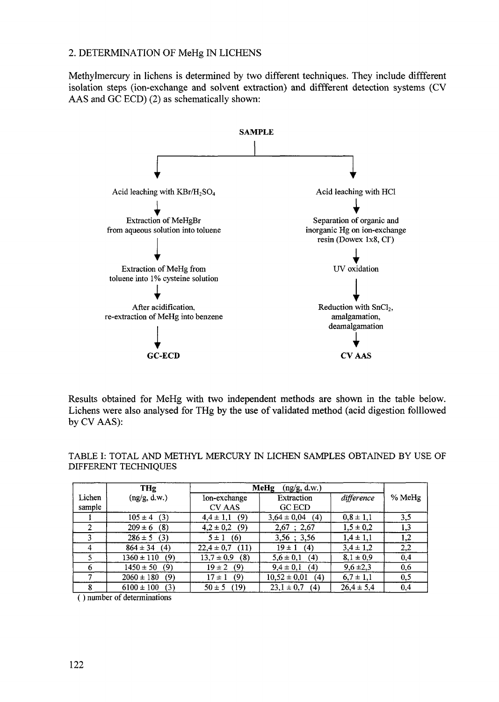## 2. DETERMINATION OF MeHg IN LICHENS

Methylmercury in lichens is determined by two different techniques. They include diffferent isolation steps (ion-exchange and solvent extraction) and different detection systems (CV AAS and GC ECD) (2) as schematically shown:



Results obtained for MeHg with two independent methods are shown in the table below. Lichens were also analysed for THg by the use of validated method (acid digestion followed by CV AAS):

|                  | THg                   | MeHg<br>(ng/g, d.w.)          |                             |                |        |
|------------------|-----------------------|-------------------------------|-----------------------------|----------------|--------|
| Lichen<br>sample | (ng/g, d.w.)          | Ion-exchange<br><b>CV AAS</b> | Extraction<br><b>GC ECD</b> | difference     | % MeHg |
|                  | $105 \pm 4$ (3)       | (9)<br>$4.4 \pm 1.1$          | $3,64 \pm 0,04$<br>(4)      | $0,8 \pm 1,1$  | 3,5    |
|                  | $209 \pm 6$ (8)       | $4,2 \pm 0,2$ (9)             | $2,67$ ; 2,67               | $1,5 \pm 0,2$  | 1,3    |
|                  | $286 \pm 5$ (3)       | $5 \pm 1$ (6)                 | $3,56$ ; $3,56$             | $1,4 \pm 1,1$  | 1,2    |
| 4                | $864 \pm 34$<br>(4)   | $22.4 \pm 0.7$<br>(11)        | $19 \pm 1$<br>(4)           | $3,4 \pm 1,2$  | 2,2    |
| 5.               | $1360 \pm 110$ (9)    | $13.7 \pm 0.9$<br>(8)         | $5,6 \pm 0,1$ (4)           | $8,1 \pm 0,9$  | 0,4    |
| 6                | $1450 \pm 50$<br>(9)  | $19 \pm 2$<br>(9)             | $9.4 \pm 0.1$ (4)           | $9,6 \pm 2,3$  | 0,6    |
|                  | $2060 \pm 180$<br>(9) | (9)<br>$17 \pm 1$             | $10,52 \pm 0,01$<br>(4)     | $6,7 \pm 1,1$  | 0,5    |
| 8                | $6100 \pm 100$<br>(3) | $50 \pm 5$ (19)               | $23.1 \pm 0.7$<br>(4)       | $26,4 \pm 5,4$ | 0,4    |

TABLE I: TOTAL AND METHYL MERCURY IN LICHEN SAMPLES OBTAINED BY USE OF DIFFERENT TECHNIQUES

number of determinations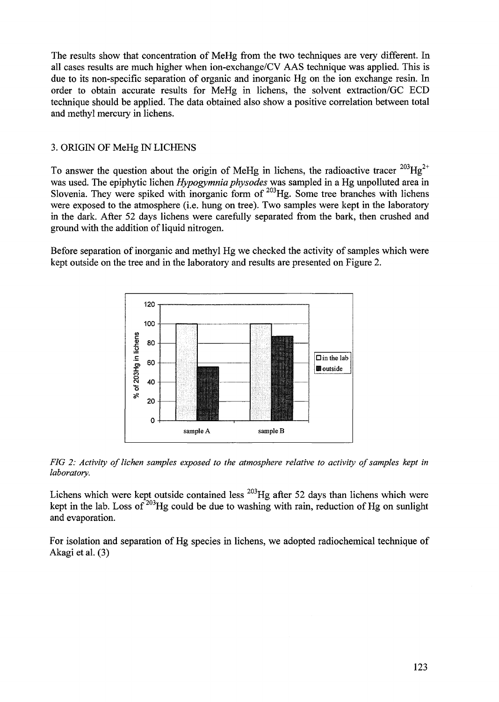The results show that concentration of MeHg from the two techniques are very different. In all cases results are much higher when ion-exchange/CV AAS technique was applied. This is due to its non-specific separation of organic and inorganic Hg on the ion exchange resin. In order to obtain accurate results for MeHg in lichens, the solvent extraction/GC ECD technique should be applied. The data obtained also show a positive correlation between total and methyl mercury in lichens.

## 3. ORIGIN OF MeHg IN LICHENS

To answer the question about the origin of MeHg in lichens, the radioactive tracer  $^{203}Hg^{2+}$ was used. The epiphytic lichen *Hypogymnia physodes* was sampled in a Hg unpolluted area in Slovenia. They were spiked with inorganic form of  $203$ Hg. Some tree branches with lichens were exposed to the atmosphere (i.e. hung on tree). Two samples were kept in the laboratory in the dark. After 52 days lichens were carefully separated from the bark, then crushed and ground with the addition of liquid nitrogen.

Before separation of inorganic and methyl Hg we checked the activity of samples which were kept outside on the tree and in the laboratory and results are presented on Figure 2.



*FIG 2: Activity of lichen samples exposed to the atmosphere relative to activity of samples kept in laboratory.*

Lichens which were kept outside contained less <sup>203</sup>Hg after 52 days than lichens which were kept in the lab. Loss of  $203$  Hg could be due to washing with rain, reduction of Hg on sunlight and evaporation.

For isolation and separation of Hg species in lichens, we adopted radiochernical technique of Akagi et al.  $(3)$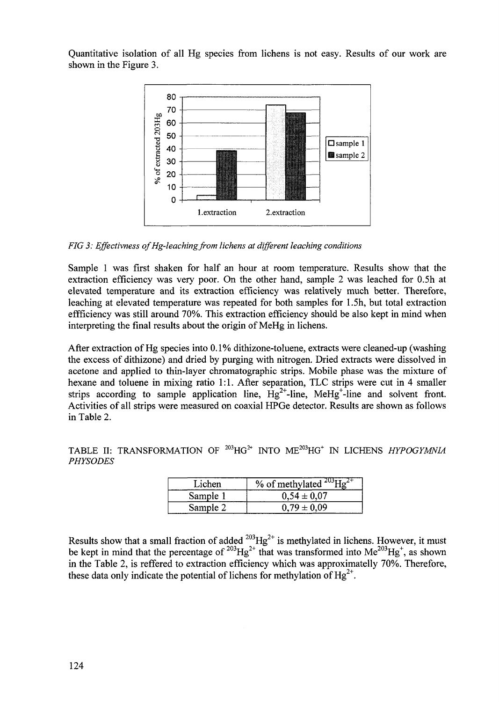Quantitative isolation of all Hg species from lichens is not easy. Results of our work are shown in the Figure 3.



*FIG 3: Effectivness of Hg-leaching from lichens at different leaching conditions* 

Sample I was first shaken for half an hour at room temperature. Results show that the extraction efficiency was very poor. On the other hand, sample 2 was leached for 0.5h at elevated temperature and its extraction efficiency was relatively much better. Therefore, leaching at elevated temperature was repeated for both samples for 1.5h, but total extraction efficiency was still around 70%. This extraction efficiency should be also kept in mind when interpreting the final results about the origin of MeHg in lichens.

After extraction of Hg species into 0.1% dithizone-toluene, extracts were cleaned-up (washing the excess of dithizone) and dried by purging with nitrogen. Dried extracts were dissolved in acetone and applied to thin-layer chromatographic strips. Mobile phase was the mixture of hexane and toluene in mixing ratio 1:1. After separation, TLC strips were cut in 4 smaller strips according to sample application line,  $Hg^{2+}$ -line, MeHg<sup>+</sup>-line and solvent front. Activities of all strips were measured on coaxial HPGe detector. Results are shown as follows in Table 2.

TABLE II: TRANSFORMATION OF <sup>203</sup>HG<sup>2+</sup> INTO ME<sup>203</sup>HG<sup>+</sup> IN LICHENS *HYPOGYMNIA PHYSODES*

| Lichen   | % of methylated $^{203}$ Hg <sup>2+</sup> |
|----------|-------------------------------------------|
| Sample 1 | $0.54 \pm 0.07$                           |
| Sample 2 | $0.79 \pm 0.09$                           |

Results show that a small fraction of added  $^{203}Hg^{2+}$  is methylated in lichens. However, it must be kept in mind that the percentage of  $^{203}Hg^{2+}$  that was transformed into Me<sup>203</sup>Hg<sup>+</sup>, as shown in the Table 2, is reffered to extraction efficiency which was approximatelly 70%. Therefore these data only indicate the potential of lichens for methylation of  $Hg^{2+}$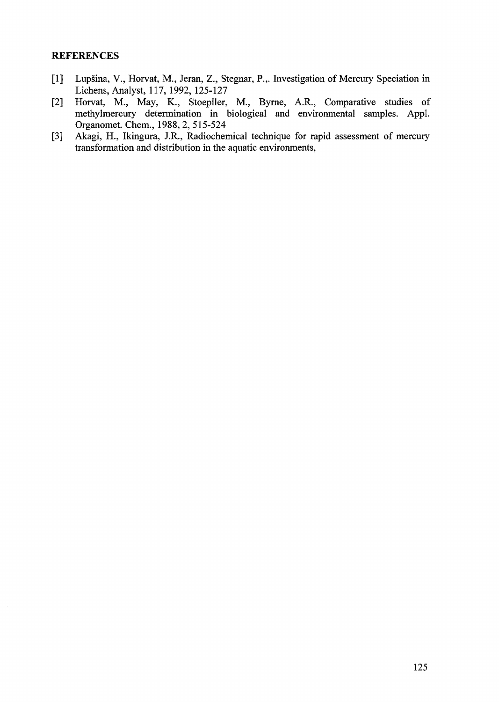## **REFERENCES**

- [1] Lupšina, V., Horvat, M., Jeran, Z., Stegnar, P.,. Investigation of Mercury Speciation in Lichens, Analyst, 117, 1992, 125-127
- [2] Horvat, M., May, K., Stoepller, M., Byme, A.R., Comparative studies of methylmercury determination in biological and environmental samples. Appl. Organomet. Chem., 1988, 2, 515-524
- [3] Akagi, H., Ikingura, J.R., Radiochernical technique for rapid assessment of mercury transformation and distribution in the aquatic environments,